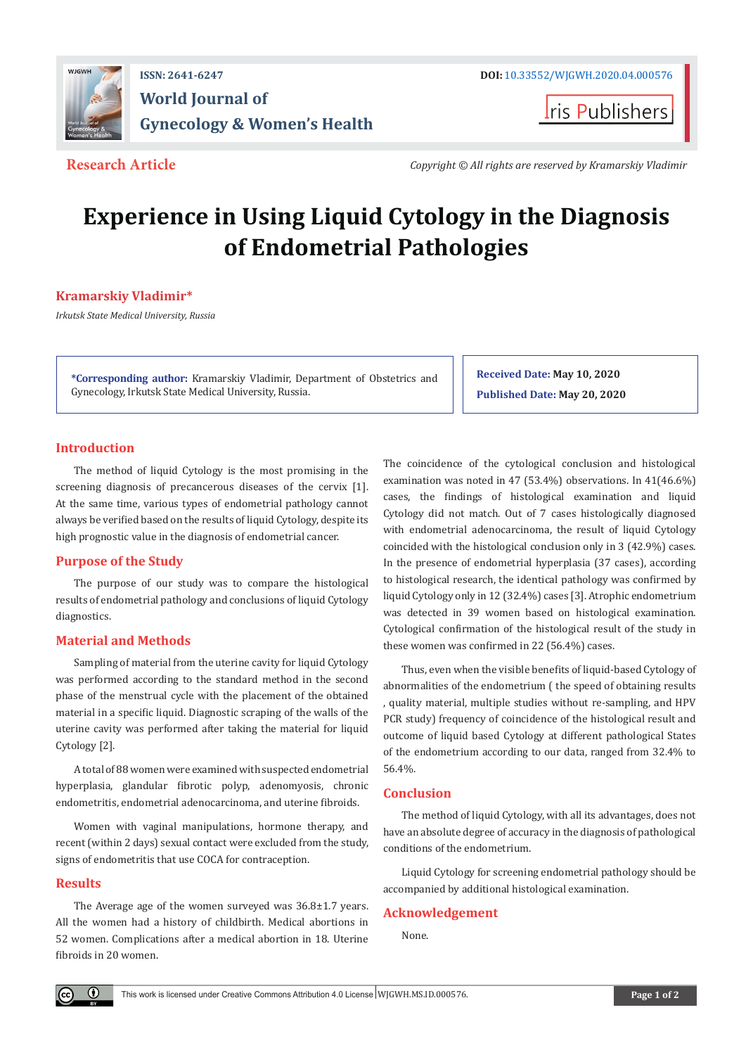

**I**ris Publishers

**Research Article** *Copyright © All rights are reserved by Kramarskiy Vladimir*

# **Experience in Using Liquid Cytology in the Diagnosis of Endometrial Pathologies**

# **Kramarskiy Vladimir\***

*Irkutsk State Medical University, Russia*

**\*Corresponding author:** Kramarskiy Vladimir, Department of Obstetrics and Gynecology, Irkutsk State Medical University, Russia.

**Received Date: May 10, 2020 Published Date: May 20, 2020**

# **Introduction**

The method of liquid Cytology is the most promising in the screening diagnosis of precancerous diseases of the cervix [1]. At the same time, various types of endometrial pathology cannot always be verified based on the results of liquid Cytology, despite its high prognostic value in the diagnosis of endometrial cancer.

# **Purpose of the Study**

The purpose of our study was to compare the histological results of endometrial pathology and conclusions of liquid Cytology diagnostics.

# **Material and Methods**

Sampling of material from the uterine cavity for liquid Cytology was performed according to the standard method in the second phase of the menstrual cycle with the placement of the obtained material in a specific liquid. Diagnostic scraping of the walls of the uterine cavity was performed after taking the material for liquid Cytology [2].

A total of 88 women were examined with suspected endometrial hyperplasia, glandular fibrotic polyp, adenomyosis, chronic endometritis, endometrial adenocarcinoma, and uterine fibroids.

Women with vaginal manipulations, hormone therapy, and recent (within 2 days) sexual contact were excluded from the study, signs of endometritis that use COCA for contraception.

### **Results**

Œ

The Average age of the women surveyed was 36.8±1.7 years. All the women had a history of childbirth. Medical abortions in 52 women. Complications after a medical abortion in 18. Uterine fibroids in 20 women.

The coincidence of the cytological conclusion and histological examination was noted in 47 (53.4%) observations. In 41(46.6%) cases, the findings of histological examination and liquid Cytology did not match. Out of 7 cases histologically diagnosed with endometrial adenocarcinoma, the result of liquid Cytology coincided with the histological conclusion only in 3 (42.9%) cases. In the presence of endometrial hyperplasia (37 cases), according to histological research, the identical pathology was confirmed by liquid Cytology only in 12 (32.4%) cases [3]. Atrophic endometrium was detected in 39 women based on histological examination. Cytological confirmation of the histological result of the study in these women was confirmed in 22 (56.4%) cases.

Thus, even when the visible benefits of liquid-based Cytology of abnormalities of the endometrium ( the speed of obtaining results , quality material, multiple studies without re-sampling, and HPV PCR study) frequency of coincidence of the histological result and outcome of liquid based Cytology at different pathological States of the endometrium according to our data, ranged from 32.4% to 56.4%.

# **Conclusion**

The method of liquid Cytology, with all its advantages, does not have an absolute degree of accuracy in the diagnosis of pathological conditions of the endometrium.

Liquid Cytology for screening endometrial pathology should be accompanied by additional histological examination.

# **Acknowledgement**

None.